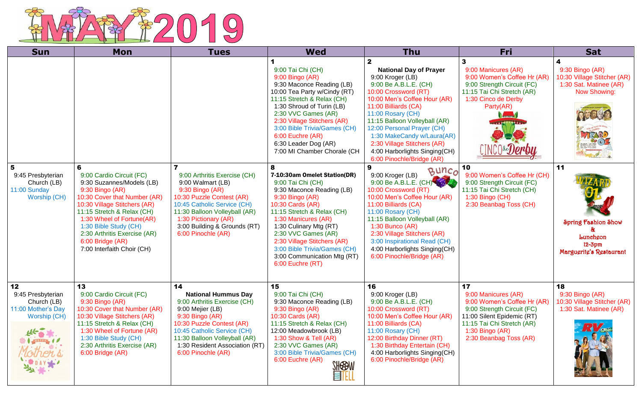

| <b>Sun</b>                                                                   | Mon                                                                                                                                                                                                                                                                                                                 | <b>Tues</b>                                                                                                                                                                                                                                                  | <b>Wed</b>                                                                                                                                                                                                                                                                                                                                         | <b>Thu</b>                                                                                                                                                                                                                                                                                                                                                                                | Fri                                                                                                                                                                                             | <b>Sat</b>                                                                                                                      |
|------------------------------------------------------------------------------|---------------------------------------------------------------------------------------------------------------------------------------------------------------------------------------------------------------------------------------------------------------------------------------------------------------------|--------------------------------------------------------------------------------------------------------------------------------------------------------------------------------------------------------------------------------------------------------------|----------------------------------------------------------------------------------------------------------------------------------------------------------------------------------------------------------------------------------------------------------------------------------------------------------------------------------------------------|-------------------------------------------------------------------------------------------------------------------------------------------------------------------------------------------------------------------------------------------------------------------------------------------------------------------------------------------------------------------------------------------|-------------------------------------------------------------------------------------------------------------------------------------------------------------------------------------------------|---------------------------------------------------------------------------------------------------------------------------------|
|                                                                              |                                                                                                                                                                                                                                                                                                                     |                                                                                                                                                                                                                                                              | 9:00 Tai Chi (CH)<br>9:00 Bingo (AR)<br>9:30 Maconce Reading (LB)<br>10:00 Tea Party w/Cindy (RT)<br>11:15 Stretch & Relax (CH)<br>1:30 Shroud of Turin (LB)<br>2:30 VVC Games (AR)<br>2:30 Village Stitchers (AR)<br>3:00 Bible Trivia/Games (CH)<br>6:00 Euchre (AR)<br>6:30 Leader Dog (AR)<br>7:00 MI Chamber Chorale (CH                      | $\mathbf{2}$<br><b>National Day of Prayer</b><br>9:00 Kroger (LB)<br>9:00 Be A.B.L.E. (CH)<br>10:00 Crossword (RT)<br>10:00 Men's Coffee Hour (AR)<br>11:00 Billiards (CA)<br>11:00 Rosary (CH)<br>11:15 Balloon Volleyball (AR)<br>12:00 Personal Prayer (CH)<br>1:30 MakeCandy w/Laura(AR)<br>2:30 Village Stitchers (AR)<br>4:00 Harborlights Singing(CH)<br>6:00 Pinochle/Bridge (AR) | 3<br>9:00 Manicures (AR)<br>9:00 Women's Coffee Hr (AR)<br>9:00 Strength Circuit (FC)<br>11:15 Tai Chi Stretch (AR)<br>1:30 Cinco de Derby<br>Party(AR)<br><b>Normal</b>                        | 9:30 Bingo (AR)<br>10:30 Village Stitcher (AR)<br>1:30 Sat. Matinee (AR)<br>Now Showing:<br>TZAR<br>$\overline{\boldsymbol{t}}$ |
| 5<br>9:45 Presbyterian<br>Church (LB)<br>11:00 Sunday<br><b>Worship (CH)</b> | 6<br>9:00 Cardio Circuit (FC)<br>9:30 Suzannes/Models (LB)<br>9:30 Bingo (AR)<br>10:30 Cover that Number (AR)<br>10:30 Village Stitchers (AR)<br>11:15 Stretch & Relax (CH)<br>1:30 Wheel of Fortune(AR)<br>1:30 Bible Study (CH)<br>2:30 Arthritis Exercise (AR)<br>6:00 Bridge (AR)<br>7:00 Interfaith Choir (CH) | 9:00 Arthritis Exercise (CH)<br>9:00 Walmart (LB)<br>$9:30$ Bingo (AR)<br>10:30 Puzzle Contest (AR)<br>10:45 Catholic Service (CH)<br>11:30 Balloon Volleyball (AR)<br>1:30 Pictionary (AR)<br>3:00 Building & Grounds (RT)<br>6:00 Pinochle (AR)            | 8<br>7-10:30am Omelet Station(DR)<br>9:00 Tai Chi (CH)<br>9:30 Maconce Reading (LB)<br>9:30 Bingo (AR)<br>10:30 Cards (AR)<br>11:15 Stretch & Relax (CH)<br>1:30 Manicures (AR)<br>1:30 Culinary Mtg (RT)<br>2:30 VVC Games (AR)<br>2:30 Village Stitchers (AR)<br>3:00 Bible Trivia/Games (CH)<br>3:00 Communication Mtg (RT)<br>6:00 Euchre (RT) | BUNCO<br>9:00 Kroger (LB)<br>9:00 Be A.B.L.E. (CH)<br>10:00 Crossword (RT)<br>10:00 Men's Coffee Hour (AR)<br>11:00 Billiards (CA)<br>11:00 Rosary (CH)<br>11:15 Balloon Volleyball (AR)<br>$1:30$ Bunco (AR)<br>2:30 Village Stitchers (AR)<br>3:00 Inspirational Read (CH)<br>4:00 Harborlights Singing(CH)<br>6:00 Pinochle/Bridge (AR)                                                | 10<br>9:00 Women's Coffee Hr (CH)<br>9:00 Strength Circuit (FC)<br>11:15 Tai Chi Stretch (CH)<br>1:30 Bingo (CH)<br>2:30 Beanbag Toss (CH)                                                      | 11<br>Spring Fashion Show<br>Lunchgon<br>$12 - 3pm$<br>Marguerite's Restaurant                                                  |
| 12<br>9:45 Presbyterian<br>Church (LB)<br>11:00 Mother's Day<br>Worship (CH) | 13<br>9:00 Cardio Circuit (FC)<br>9:30 Bingo (AR)<br>10:30 Cover that Number (AR)<br>10:30 Village Stitchers (AR)<br>11:15 Stretch & Relax (CH)<br>1:30 Wheel of Fortune (AR)<br>1:30 Bible Study (CH)<br>2:30 Arthritis Exercise (AR)<br>6:00 Bridge (AR)                                                          | 14<br><b>National Hummus Day</b><br>9:00 Arthritis Exercise (CH)<br>9:00 Mejier (LB)<br>9:30 Bingo (AR)<br>10:30 Puzzle Contest (AR)<br>10:45 Catholic Service (CH)<br>11:30 Balloon Volleyball (AR)<br>1:30 Resident Association (RT)<br>6:00 Pinochle (AR) | 15<br>9:00 Tai Chi (CH)<br>9:30 Maconce Reading (LB)<br>9:30 Bingo (AR)<br>10:30 Cards (AR)<br>11:15 Stretch & Relax (CH)<br>12:00 Meadowbrook (LB)<br>1:30 Show & Tell (AR)<br>2:30 VVC Games (AR)<br>3:00 Bible Trivia/Games (CH)<br>6:00 Euchre (AR)<br><b>SHEBW</b><br><u>EIF</u>                                                              | 16<br>9:00 Kroger (LB)<br>9:00 Be A.B.L.E. (CH)<br>10:00 Crossword (RT)<br>10:00 Men's Coffee Hour (AR)<br>11:00 Billiards (CA)<br>11:00 Rosary (CH)<br>12:00 Birthday Dinner (RT)<br>1:30 Birthday Entertain (CH)<br>4:00 Harborlights Singing(CH)<br>6:00 Pinochle/Bridge (AR)                                                                                                          | 17<br>9:00 Manicures (AR)<br>9:00 Women's Coffee Hr (AR)<br>9:00 Strength Circuit (FC)<br>11:00 Silent Epidemic (RT)<br>11:15 Tai Chi Stretch (AR)<br>1:30 Bingo (AR)<br>2:30 Beanbag Toss (AR) | 18<br>9:30 Bingo (AR)<br>10:30 Village Stitcher (AR)<br>1:30 Sat. Matinee (AR)                                                  |